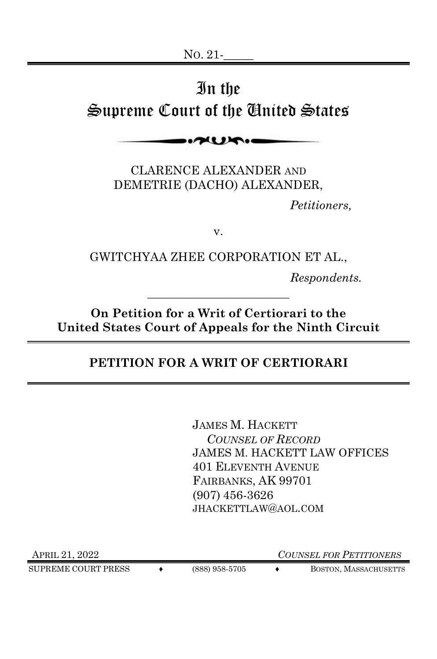# In the Supreme Court of the United States

**AURIO** 

CLARENCE ALEXANDER AND DEMETRIE (DACHO) ALEXANDER,

*Petitioners,*

v.

GWITCHYAA ZHEE CORPORATION ET AL.,

*Respondents.*

**On Petition for a Writ of Certiorari to the United States Court of Appeals for the Ninth Circuit**

\_\_\_\_\_\_\_\_\_\_\_\_\_\_\_\_\_\_\_\_\_\_\_\_\_\_

# **PETITION FOR A WRIT OF CERTIORARI**

JAMES M. HACKETT  *COUNSEL OF RECORD*  JAMES M. HACKETT LAW OFFICES 401 ELEVENTH AVENUE FAIRBANKS, AK 99701 (907) 456-3626 JHACKETTLAW@AOL.COM

SUPREME COURT PRESS  $\leftrightarrow$  (888) 958-5705  $\leftrightarrow$  BOSTON, MASSACHUSETTS

APRIL 21, 2022 *COUNSEL FOR PETITIONERS*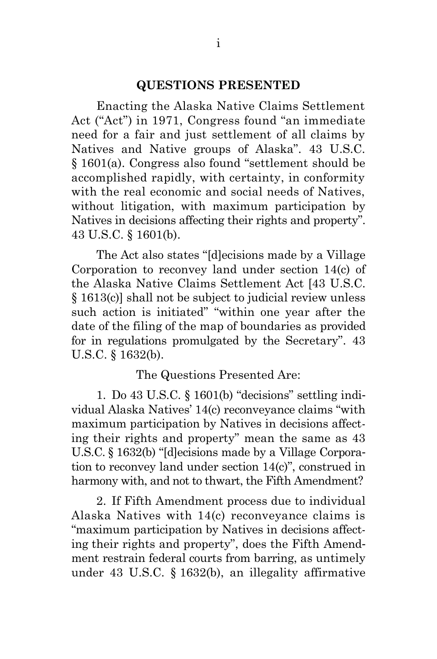#### **QUESTIONS PRESENTED**

<span id="page-1-0"></span>Enacting the Alaska Native Claims Settlement Act ("Act") in 1971, Congress found "an immediate need for a fair and just settlement of all claims by Natives and Native groups of Alaska". 43 U.S.C. § 1601(a). Congress also found "settlement should be accomplished rapidly, with certainty, in conformity with the real economic and social needs of Natives, without litigation, with maximum participation by Natives in decisions affecting their rights and property". 43 U.S.C. § 1601(b).

The Act also states "[d]ecisions made by a Village Corporation to reconvey land under section 14(c) of the Alaska Native Claims Settlement Act [43 U.S.C. § 1613(c)] shall not be subject to judicial review unless such action is initiated" "within one year after the date of the filing of the map of boundaries as provided for in regulations promulgated by the Secretary". 43 U.S.C. § 1632(b).

The Questions Presented Are:

1. Do 43 U.S.C. § 1601(b) "decisions" settling individual Alaska Natives' 14(c) reconveyance claims "with maximum participation by Natives in decisions affecting their rights and property" mean the same as 43 U.S.C. § 1632(b) "[d]ecisions made by a Village Corporation to reconvey land under section 14(c)", construed in harmony with, and not to thwart, the Fifth Amendment?

2. If Fifth Amendment process due to individual Alaska Natives with 14(c) reconveyance claims is "maximum participation by Natives in decisions affecting their rights and property", does the Fifth Amendment restrain federal courts from barring, as untimely under 43 U.S.C. § 1632(b), an illegality affirmative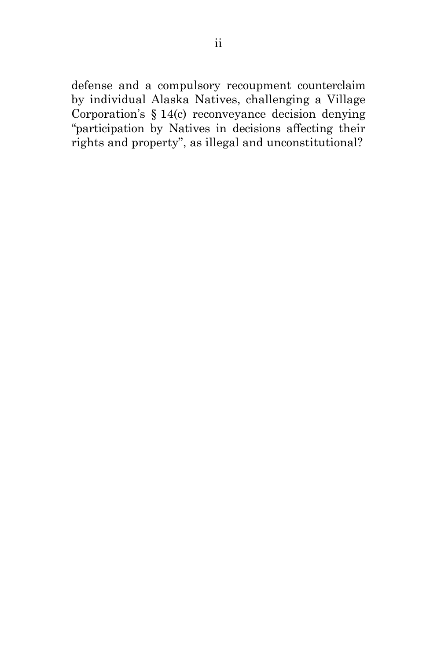defense and a compulsory recoupment counterclaim by individual Alaska Natives, challenging a Village Corporation's § 14(c) reconveyance decision denying "participation by Natives in decisions affecting their rights and property", as illegal and unconstitutional?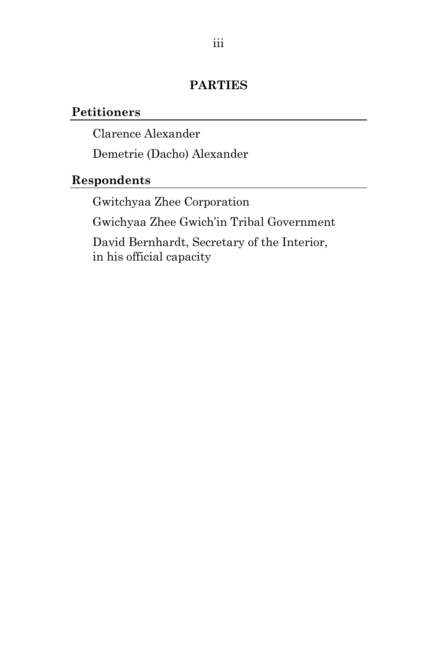# **PARTIES**

## <span id="page-3-0"></span>**Petitioners**

Clarence Alexander

Demetrie (Dacho) Alexander

# **Respondents**

Gwitchyaa Zhee Corporation

Gwichyaa Zhee Gwich'in Tribal Government

David Bernhardt, Secretary of the Interior, in his official capacity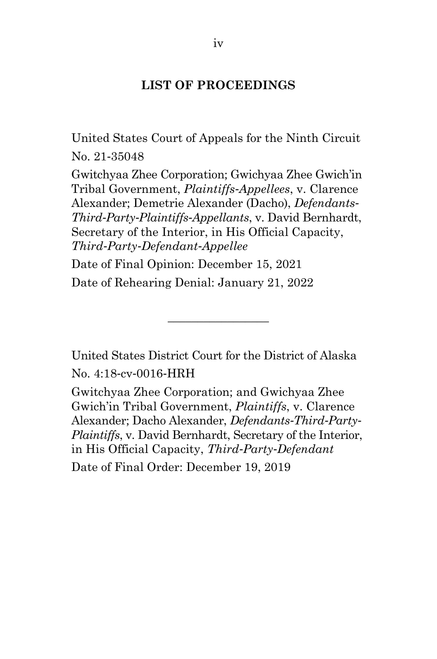## **LIST OF PROCEEDINGS**

United States Court of Appeals for the Ninth Circuit No. 21-35048

Gwitchyaa Zhee Corporation; Gwichyaa Zhee Gwich'in Tribal Government, *Plaintiffs-Appellees*, v. Clarence Alexander; Demetrie Alexander (Dacho), *Defendants-Third-Party-Plaintiffs-Appellants*, v. David Bernhardt, Secretary of the Interior, in His Official Capacity, *Third-Party-Defendant-Appellee*

Date of Final Opinion: December 15, 2021 Date of Rehearing Denial: January 21, 2022

United States District Court for the District of Alaska No. 4:18-cv-0016-HRH

 $\overline{\phantom{a}}$  , where  $\overline{\phantom{a}}$ 

Gwitchyaa Zhee Corporation; and Gwichyaa Zhee Gwich'in Tribal Government, *Plaintiffs*, v. Clarence Alexander; Dacho Alexander, *Defendants-Third-Party-Plaintiffs*, v. David Bernhardt, Secretary of the Interior, in His Official Capacity, *Third-Party-Defendant* Date of Final Order: December 19, 2019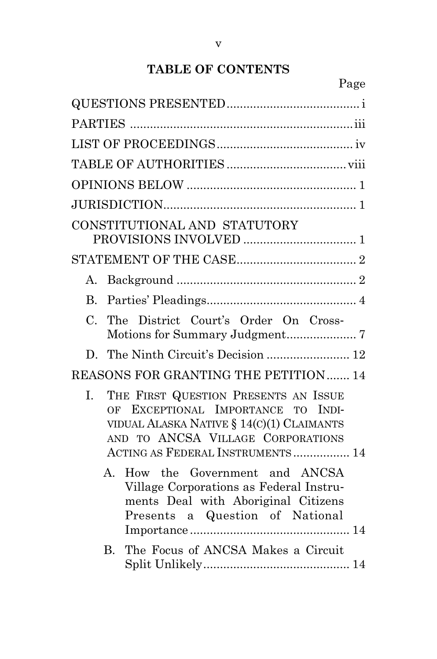# **TABLE OF CONTENTS**

| CONSTITUTIONAL AND STATUTORY                                                                                                                                                                              |
|-----------------------------------------------------------------------------------------------------------------------------------------------------------------------------------------------------------|
|                                                                                                                                                                                                           |
| A.                                                                                                                                                                                                        |
| $\mathbf{B}$ .                                                                                                                                                                                            |
| $\mathcal{C}$ .<br>The District Court's Order On Cross-                                                                                                                                                   |
| D. The Ninth Circuit's Decision  12                                                                                                                                                                       |
| REASONS FOR GRANTING THE PETITION 14                                                                                                                                                                      |
| THE FIRST QUESTION PRESENTS AN ISSUE<br>L.<br>OF EXCEPTIONAL IMPORTANCE TO<br>INDI-<br>VIDUAL ALASKA NATIVE § 14(C)(1) CLAIMANTS<br>AND TO ANCSA VILLAGE CORPORATIONS<br>ACTING AS FEDERAL INSTRUMENTS 14 |
| How the Government and ANCSA<br>$\mathbf{A}$<br>Village Corporations as Federal Instru-<br>ments Deal with Aboriginal Citizens<br>Presents a Question of National                                         |
| The Focus of ANCSA Makes a Circuit<br>$\bf{B}$                                                                                                                                                            |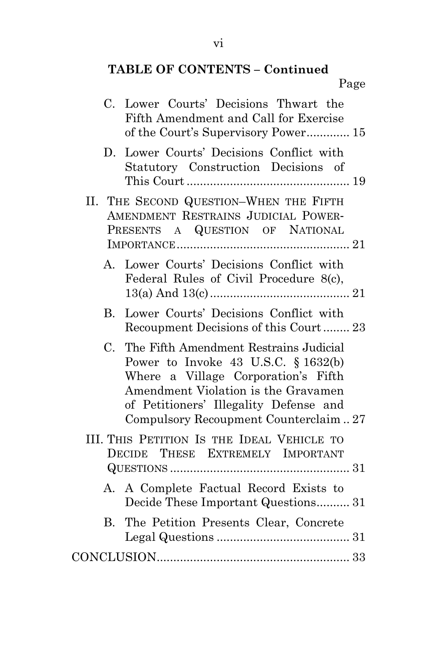# **TABLE OF CONTENTS – Continued**

Page

|             | C. Lower Courts' Decisions Thwart the<br>Fifth Amendment and Call for Exercise<br>of the Court's Supervisory Power 15                                                                                                                           |
|-------------|-------------------------------------------------------------------------------------------------------------------------------------------------------------------------------------------------------------------------------------------------|
| D.          | Lower Courts' Decisions Conflict with<br>Statutory Construction Decisions of                                                                                                                                                                    |
|             | II. THE SECOND QUESTION-WHEN THE FIFTH<br>AMENDMENT RESTRAINS JUDICIAL POWER-<br>PRESENTS A QUESTION OF NATIONAL                                                                                                                                |
| A.          | Lower Courts' Decisions Conflict with<br>Federal Rules of Civil Procedure 8(c),                                                                                                                                                                 |
| B.          | Lower Courts' Decisions Conflict with<br>Recoupment Decisions of this Court 23                                                                                                                                                                  |
| $C_{\cdot}$ | The Fifth Amendment Restrains Judicial<br>Power to Invoke 43 U.S.C. $§ 1632(b)$<br>Where a Village Corporation's Fifth<br>Amendment Violation is the Gravamen<br>of Petitioners' Illegality Defense and<br>Compulsory Recoupment Counterclaim27 |
|             | III. THIS PETITION IS THE IDEAL VEHICLE TO<br>DECIDE THESE EXTREMELY IMPORTANT                                                                                                                                                                  |
|             | A. A Complete Factual Record Exists to<br>Decide These Important Questions 31                                                                                                                                                                   |
|             | B. The Petition Presents Clear, Concrete                                                                                                                                                                                                        |
|             |                                                                                                                                                                                                                                                 |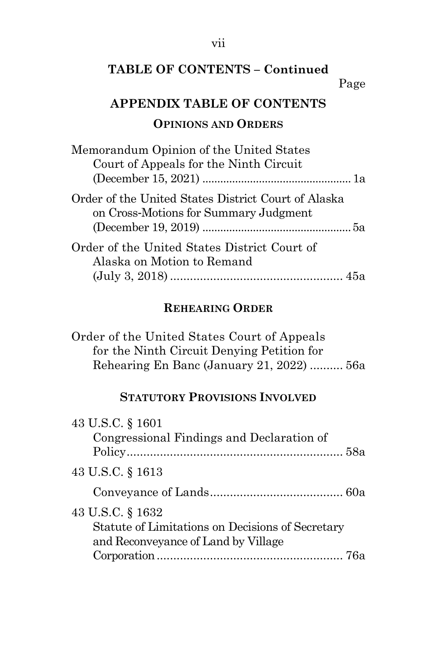# vii

# **TABLE OF CONTENTS – Continued**

## Page

# **APPENDIX TABLE OF CONTENTS**

# **OPINIONS AND ORDERS**

| Memorandum Opinion of the United States                                                      |
|----------------------------------------------------------------------------------------------|
| Court of Appeals for the Ninth Circuit                                                       |
|                                                                                              |
| Order of the United States District Court of Alaska<br>on Cross-Motions for Summary Judgment |
|                                                                                              |
| Order of the United States District Court of                                                 |
| Alaska on Motion to Remand                                                                   |
|                                                                                              |

# **REHEARING ORDER**

| Order of the United States Court of Appeals |  |
|---------------------------------------------|--|
| for the Ninth Circuit Denying Petition for  |  |
| Rehearing En Banc (January 21, 2022)  56a   |  |

# **STATUTORY PROVISIONS INVOLVED**

| 43 U.S.C. § 1601                                 |  |
|--------------------------------------------------|--|
| Congressional Findings and Declaration of        |  |
|                                                  |  |
| 43 U.S.C. § 1613                                 |  |
|                                                  |  |
| 43 U.S.C. § 1632                                 |  |
| Statute of Limitations on Decisions of Secretary |  |
| and Reconveyance of Land by Village              |  |
|                                                  |  |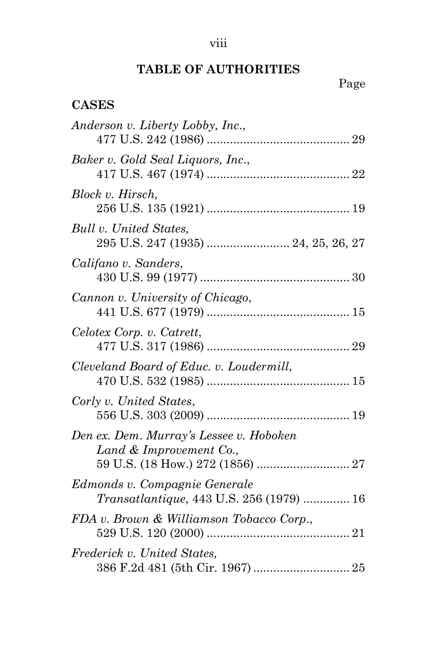# viii

# **TABLE OF AUTHORITIES**

# Page

# <span id="page-8-0"></span>**CASES**

| Anderson v. Liberty Lobby, Inc.,                                          |
|---------------------------------------------------------------------------|
| Baker v. Gold Seal Liquors, Inc.,                                         |
| Block v. Hirsch,                                                          |
| Bull v. United States,                                                    |
| Califano v. Sanders,                                                      |
| Cannon v. University of Chicago,                                          |
| Celotex Corp. v. Catrett,                                                 |
| Cleveland Board of Educ. v. Loudermill,                                   |
| Corly v. United States,                                                   |
| Den ex. Dem. Murray's Lessee v. Hoboken<br>Land & Improvement Co.,        |
| Edmonds v. Compagnie Generale<br>Transatlantique, 443 U.S. 256 (1979)  16 |
| FDA v. Brown & Williamson Tobacco Corp.,                                  |
| Frederick v. United States,                                               |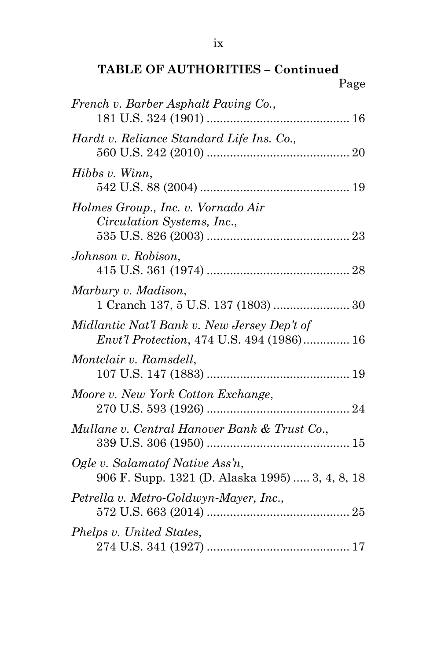| French v. Barber Asphalt Paving Co.,                                                            |
|-------------------------------------------------------------------------------------------------|
| Hardt v. Reliance Standard Life Ins. Co.,                                                       |
| Hibbs v. Winn,                                                                                  |
| Holmes Group., Inc. v. Vornado Air<br>Circulation Systems, Inc.,                                |
| Johnson v. Robison,                                                                             |
| Marbury v. Madison,                                                                             |
| Midlantic Nat'l Bank v. New Jersey Dep't of<br><i>Envt'l Protection, 474 U.S. 494 (1986) 16</i> |
| Montclair v. Ramsdell,                                                                          |
| Moore v. New York Cotton Exchange,                                                              |
| Mullane v. Central Hanover Bank & Trust Co.,                                                    |
| Ogle v. Salamatof Native Ass'n,<br>906 F. Supp. 1321 (D. Alaska 1995)  3, 4, 8, 18              |
| Petrella v. Metro-Goldwyn-Mayer, Inc.,                                                          |
| Phelps v. United States,                                                                        |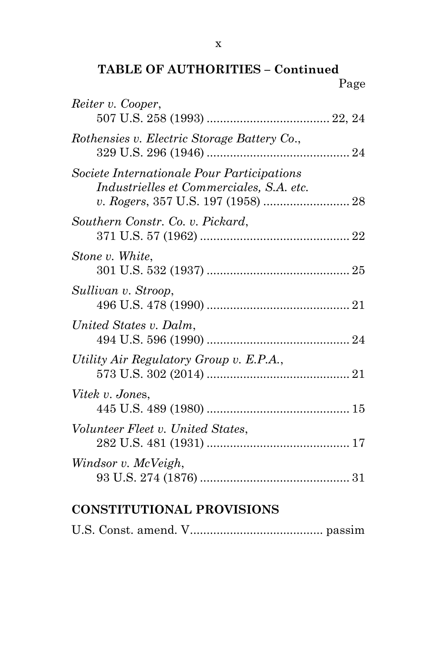**TABLE OF AUTHORITIES – Continued** Page

| Reiter v. Cooper,                                                                      |  |
|----------------------------------------------------------------------------------------|--|
| Rothensies v. Electric Storage Battery Co.,                                            |  |
| Societe Internationale Pour Participations<br>Industrielles et Commerciales, S.A. etc. |  |
| Southern Constr. Co. v. Pickard,                                                       |  |
| Stone v. White,                                                                        |  |
| Sullivan v. Stroop,                                                                    |  |
| United States v. Dalm,                                                                 |  |
| Utility Air Regulatory Group v. E.P.A.,                                                |  |
| <i>Vitek v. Jones,</i>                                                                 |  |
| Volunteer Fleet v. United States,                                                      |  |
| Windsor v. McVeigh,                                                                    |  |

# **CONSTITUTIONAL PROVISIONS**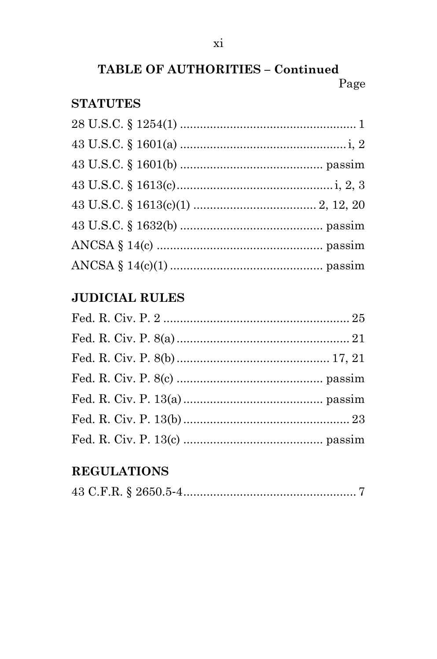# TABLE OF AUTHORITIES - Continued Page

# **STATUTES**

# **JUDICIAL RULES**

# **REGULATIONS**

|--|--|--|--|--|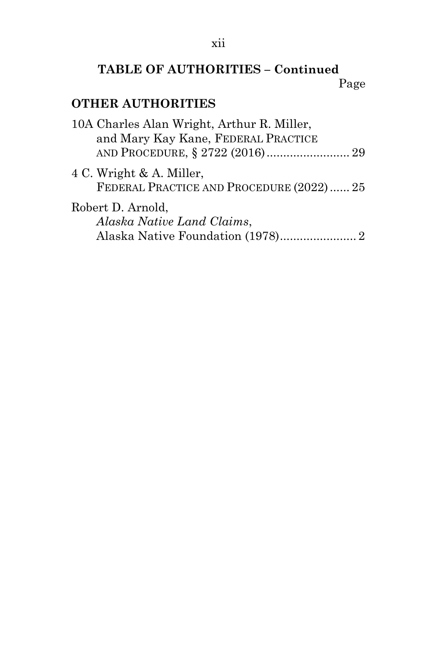# **TABLE OF AUTHORITIES – Continued** Page

# **OTHER AUTHORITIES**

| 10A Charles Alan Wright, Arthur R. Miller,                           |  |
|----------------------------------------------------------------------|--|
| and Mary Kay Kane, FEDERAL PRACTICE                                  |  |
| 4 C. Wright & A. Miller,<br>FEDERAL PRACTICE AND PROCEDURE (2022) 25 |  |
| Robert D. Arnold,<br>Alaska Native Land Claims,                      |  |
|                                                                      |  |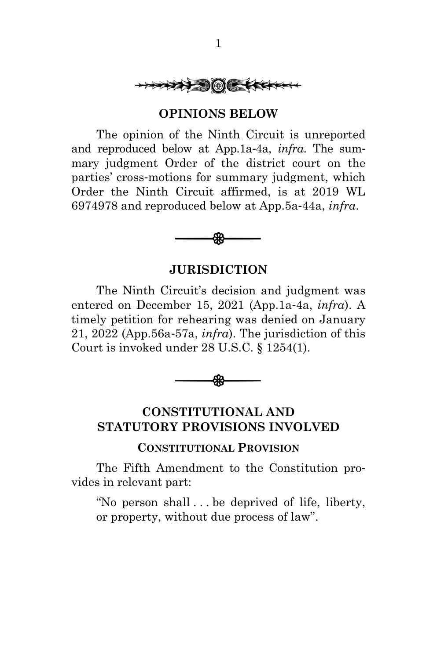

#### **OPINIONS BELOW**

<span id="page-13-0"></span>The opinion of the Ninth Circuit is unreported and reproduced below at App.1a-4a, *infra*. The summary judgment Order of the district court on the parties' cross-motions for summary judgment, which Order the Ninth Circuit affirmed, is at 2019 WL 6974978 and reproduced below at App.5a-44a, *infra*.



#### **JURISDICTION**

<span id="page-13-1"></span>The Ninth Circuit's decision and judgment was entered on December 15, 2021 (App.1a-4a, *infra*). A timely petition for rehearing was denied on January 21, 2022 (App.56a-57a, *infra*). The jurisdiction of this Court is invoked under 28 U.S.C. § 1254(1).



# <span id="page-13-2"></span>**CONSTITUTIONAL AND STATUTORY PROVISIONS INVOLVED**

#### **CONSTITUTIONAL PROVISION**

The Fifth Amendment to the Constitution provides in relevant part:

"No person shall . . . be deprived of life, liberty, or property, without due process of law".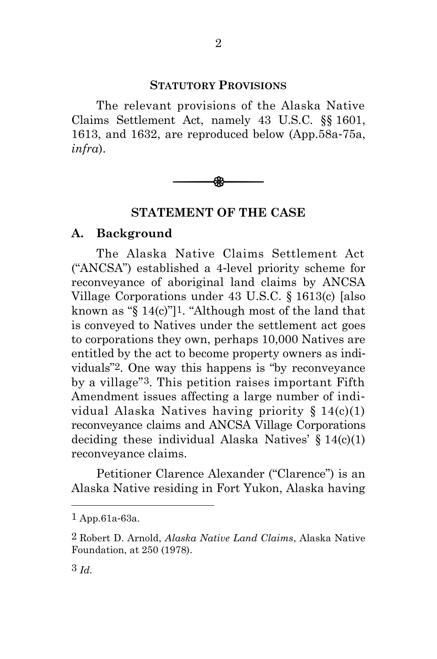#### **STATUTORY PROVISIONS**

2

The relevant provisions of the Alaska Native Claims Settlement Act, namely 43 U.S.C. §§ 1601, 1613, and 1632, are reproduced below (App.58a-75a, *infra*).



#### **STATEMENT OF THE CASE**

#### <span id="page-14-1"></span><span id="page-14-0"></span>**A. Background**

The Alaska Native Claims Settlement Act ("ANCSA") established a 4-level priority scheme for reconveyance of aboriginal land claims by ANCSA Village Corporations under 43 U.S.C. § 1613(c) [also known as "§ 14(c)"]1. "Although most of the land that is conveyed to Natives under the settlement act goes to corporations they own, perhaps 10,000 Natives are entitled by the act to become property owners as individuals"2. One way this happens is "by reconveyance by a village"3. This petition raises important Fifth Amendment issues affecting a large number of individual Alaska Natives having priority § 14(c)(1) reconveyance claims and ANCSA Village Corporations deciding these individual Alaska Natives'  $\S 14(c)(1)$ reconveyance claims.

Petitioner Clarence Alexander ("Clarence") is an Alaska Native residing in Fort Yukon, Alaska having

<sup>1</sup> App.61a-63a.

<sup>2</sup> Robert D. Arnold, *Alaska Native Land Claims*, Alaska Native Foundation, at 250 (1978).

<sup>3</sup> *Id.*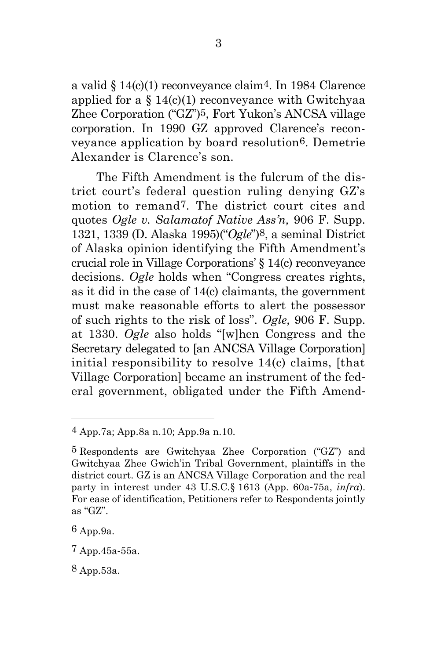a valid § 14(c)(1) reconveyance claim4. In 1984 Clarence applied for a  $\S 14(c)(1)$  reconveyance with Gwitchyaa Zhee Corporation ("GZ")5, Fort Yukon's ANCSA village corporation. In 1990 GZ approved Clarence's reconveyance application by board resolution6. Demetrie Alexander is Clarence's son.

The Fifth Amendment is the fulcrum of the district court's federal question ruling denying GZ's motion to remand7. The district court cites and quotes *Ogle v. Salamatof Native Ass'n,* 906 F. Supp. 1321, 1339 (D. Alaska 1995)("*Ogle*")8, a seminal District of Alaska opinion identifying the Fifth Amendment's crucial role in Village Corporations' § 14(c) reconveyance decisions. *Ogle* holds when "Congress creates rights, as it did in the case of 14(c) claimants, the government must make reasonable efforts to alert the possessor of such rights to the risk of loss". *Ogle,* 906 F. Supp. at 1330. *Ogle* also holds "[w]hen Congress and the Secretary delegated to [an ANCSA Village Corporation] initial responsibility to resolve 14(c) claims, [that Village Corporation] became an instrument of the federal government, obligated under the Fifth Amend-

<sup>4</sup> App.7a; App.8a n.10; App.9a n.10.

<sup>5</sup> Respondents are Gwitchyaa Zhee Corporation ("GZ") and Gwitchyaa Zhee Gwich'in Tribal Government, plaintiffs in the district court. GZ is an ANCSA Village Corporation and the real party in interest under 43 U.S.C.§ 1613 (App. 60a-75a, *infra*). For ease of identification, Petitioners refer to Respondents jointly as "GZ".

<sup>6</sup> App.9a.

<sup>7</sup> App.45a-55a.

<sup>8</sup> App.53a.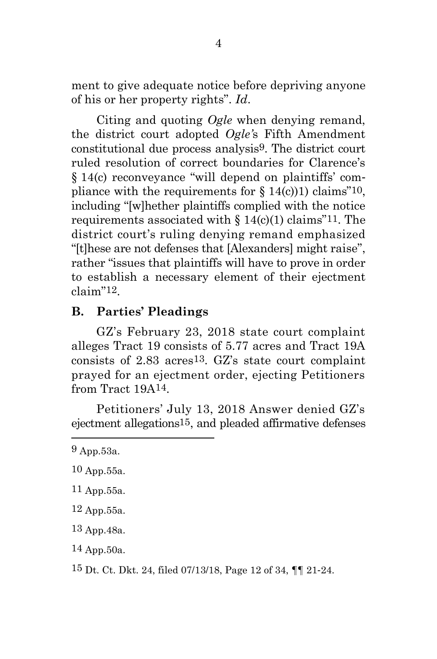ment to give adequate notice before depriving anyone of his or her property rights". *Id*.

Citing and quoting *Ogle* when denying remand, the district court adopted *Ogle'*s Fifth Amendment constitutional due process analysis9. The district court ruled resolution of correct boundaries for Clarence's § 14(c) reconveyance "will depend on plaintiffs' compliance with the requirements for  $\S 14(c)$ ) claims<sup>"10</sup>, including "[w]hether plaintiffs complied with the notice requirements associated with  $\S 14(c)(1)$  claims<sup>"11</sup>. The district court's ruling denying remand emphasized "[t]hese are not defenses that [Alexanders] might raise", rather "issues that plaintiffs will have to prove in order to establish a necessary element of their ejectment claim"12.

## <span id="page-16-0"></span>**B. Parties' Pleadings**

GZ's February 23, 2018 state court complaint alleges Tract 19 consists of 5.77 acres and Tract 19A consists of  $2.83$  acres<sup>13</sup>. GZ's state court complaint prayed for an ejectment order, ejecting Petitioners from Tract 19A14.

Petitioners' July 13, 2018 Answer denied GZ's ejectment allegations15, and pleaded affirmative defenses

- 10 App.55a.
- 11 App.55a.
- 12 App.55a.
- 13 App.48a.
- 14 App.50a.

15 Dt. Ct. Dkt. 24, filed 07/13/18, Page 12 of 34, ¶¶ 21-24.

<sup>9</sup> App.53a.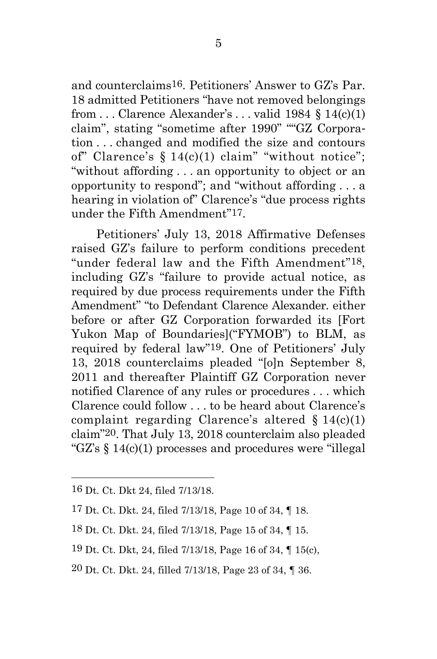and counterclaims16. Petitioners' Answer to GZ's Par. 18 admitted Petitioners "have not removed belongings from  $\ldots$  Clarence Alexander's  $\ldots$  valid 1984 § 14(c)(1) claim", stating "sometime after 1990" ""GZ Corporation . . . changed and modified the size and contours of" Clarence's  $\S 14(c)(1)$  claim" "without notice"; "without affording . . . an opportunity to object or an opportunity to respond"; and "without affording . . . a hearing in violation of" Clarence's "due process rights under the Fifth Amendment"17.

Petitioners' July 13, 2018 Affirmative Defenses raised GZ's failure to perform conditions precedent "under federal law and the Fifth Amendment"18, including GZ's "failure to provide actual notice, as required by due process requirements under the Fifth Amendment" "to Defendant Clarence Alexander. either before or after GZ Corporation forwarded its [Fort Yukon Map of Boundaries]("FYMOB") to BLM, as required by federal law"19. One of Petitioners' July 13, 2018 counterclaims pleaded "[o]n September 8, 2011 and thereafter Plaintiff GZ Corporation never notified Clarence of any rules or procedures . . . which Clarence could follow . . . to be heard about Clarence's complaint regarding Clarence's altered  $§ 14(c)(1)$ claim"20. That July 13, 2018 counterclaim also pleaded "GZ's § 14(c)(1) processes and procedures were "illegal

- 18 Dt. Ct. Dkt. 24, filed 7/13/18, Page 15 of 34, ¶ 15.
- 19 Dt. Ct. Dkt, 24, filed 7/13/18, Page 16 of 34, ¶ 15(c),
- 20 Dt. Ct. Dkt. 24, filled 7/13/18, Page 23 of 34, ¶ 36.

<sup>16</sup> Dt. Ct. Dkt 24, filed 7/13/18.

<sup>17</sup> Dt. Ct. Dkt. 24, filed 7/13/18, Page 10 of 34, ¶ 18.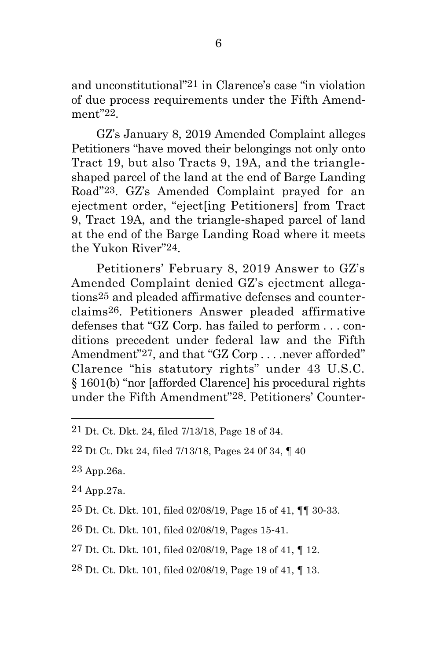and unconstitutional"21 in Clarence's case "in violation of due process requirements under the Fifth Amendment"22.

GZ's January 8, 2019 Amended Complaint alleges Petitioners "have moved their belongings not only onto Tract 19, but also Tracts 9, 19A, and the triangleshaped parcel of the land at the end of Barge Landing Road"23. GZ's Amended Complaint prayed for an ejectment order, "eject[ing Petitioners] from Tract 9, Tract 19A, and the triangle-shaped parcel of land at the end of the Barge Landing Road where it meets the Yukon River"24.

Petitioners' February 8, 2019 Answer to GZ's Amended Complaint denied GZ's ejectment allegations25 and pleaded affirmative defenses and counterclaims26. Petitioners Answer pleaded affirmative defenses that "GZ Corp. has failed to perform . . . conditions precedent under federal law and the Fifth Amendment"27, and that "GZ Corp . . . .never afforded" Clarence "his statutory rights" under 43 U.S.C. § 1601(b) "nor [afforded Clarence] his procedural rights under the Fifth Amendment"28. Petitioners' Counter-

24 App.27a.

27 Dt. Ct. Dkt. 101, filed 02/08/19, Page 18 of 41, ¶ 12.

28 Dt. Ct. Dkt. 101, filed 02/08/19, Page 19 of 41, ¶ 13.

<sup>21</sup> Dt. Ct. Dkt. 24, filed 7/13/18, Page 18 of 34.

<sup>22</sup> Dt Ct. Dkt 24, filed 7/13/18, Pages 24 0f 34, ¶ 40

<sup>23</sup> App.26a.

<sup>25</sup> Dt. Ct. Dkt. 101, filed 02/08/19, Page 15 of 41, ¶¶ 30-33.

<sup>26</sup> Dt. Ct. Dkt. 101, filed 02/08/19, Pages 15-41.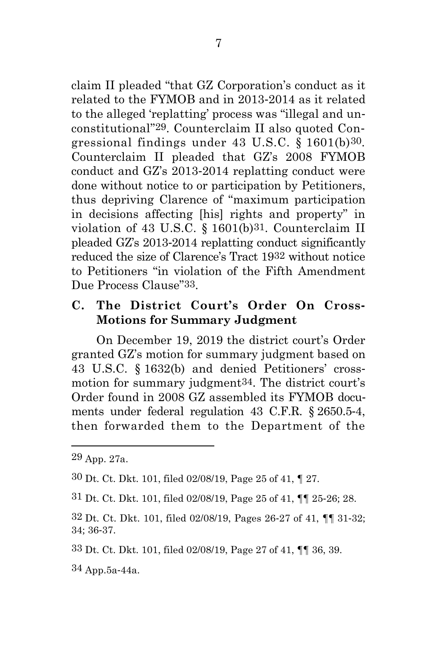claim II pleaded "that GZ Corporation's conduct as it related to the FYMOB and in 2013-2014 as it related to the alleged 'replatting' process was "illegal and unconstitutional"29. Counterclaim II also quoted Congressional findings under 43 U.S.C. § 1601(b)30. Counterclaim II pleaded that GZ's 2008 FYMOB conduct and GZ's 2013-2014 replatting conduct were done without notice to or participation by Petitioners, thus depriving Clarence of "maximum participation in decisions affecting [his] rights and property" in violation of 43 U.S.C. § 1601(b)31. Counterclaim II pleaded GZ's 2013-2014 replatting conduct significantly reduced the size of Clarence's Tract 1932 without notice to Petitioners "in violation of the Fifth Amendment Due Process Clause"33.

## <span id="page-19-0"></span>**C. The District Court's Order On Cross-Motions for Summary Judgment**

On December 19, 2019 the district court's Order granted GZ's motion for summary judgment based on 43 U.S.C. § 1632(b) and denied Petitioners' crossmotion for summary judgment34. The district court's Order found in 2008 GZ assembled its FYMOB documents under federal regulation 43 C.F.R. § 2650.5-4, then forwarded them to the Department of the

34 App.5a-44a.

<sup>29</sup> App. 27a.

<sup>30</sup> Dt. Ct. Dkt. 101, filed 02/08/19, Page 25 of 41, ¶ 27.

<sup>31</sup> Dt. Ct. Dkt. 101, filed 02/08/19, Page 25 of 41, ¶¶ 25-26; 28.

<sup>32</sup> Dt. Ct. Dkt. 101, filed 02/08/19, Pages 26-27 of 41, ¶¶ 31-32; 34; 36-37.

<sup>33</sup> Dt. Ct. Dkt. 101, filed 02/08/19, Page 27 of 41, ¶¶ 36, 39.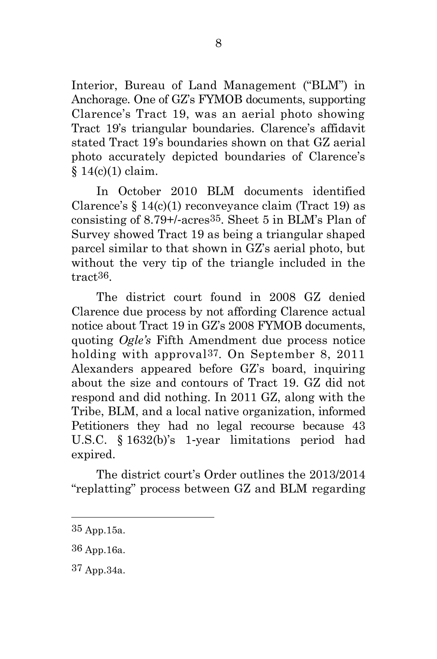Interior, Bureau of Land Management ("BLM") in Anchorage. One of GZ's FYMOB documents, supporting Clarence's Tract 19, was an aerial photo showing Tract 19's triangular boundaries. Clarence's affidavit stated Tract 19's boundaries shown on that GZ aerial photo accurately depicted boundaries of Clarence's  $§ 14(c)(1)$  claim.

In October 2010 BLM documents identified Clarence's  $\{14(c)(1)$  reconveyance claim (Tract 19) as consisting of 8.79+/-acres35. Sheet 5 in BLM's Plan of Survey showed Tract 19 as being a triangular shaped parcel similar to that shown in GZ's aerial photo, but without the very tip of the triangle included in the tract36.

The district court found in 2008 GZ denied Clarence due process by not affording Clarence actual notice about Tract 19 in GZ's 2008 FYMOB documents, quoting *Ogle's* Fifth Amendment due process notice holding with approval37. On September 8, 2011 Alexanders appeared before GZ's board, inquiring about the size and contours of Tract 19. GZ did not respond and did nothing. In 2011 GZ, along with the Tribe, BLM, and a local native organization, informed Petitioners they had no legal recourse because 43 U.S.C. § 1632(b)'s 1-year limitations period had expired.

The district court's Order outlines the 2013/2014 "replatting" process between GZ and BLM regarding

<sup>35</sup> App.15a.

<sup>36</sup> App.16a.

<sup>37</sup> App.34a.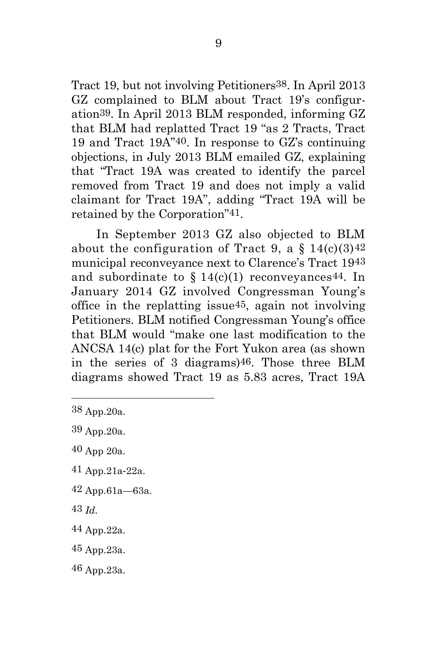Tract 19, but not involving Petitioners38. In April 2013 GZ complained to BLM about Tract 19's configuration39. In April 2013 BLM responded, informing GZ that BLM had replatted Tract 19 "as 2 Tracts, Tract 19 and Tract 19A"40. In response to GZ's continuing objections, in July 2013 BLM emailed GZ, explaining that "Tract 19A was created to identify the parcel removed from Tract 19 and does not imply a valid claimant for Tract 19A", adding "Tract 19A will be retained by the Corporation"41.

In September 2013 GZ also objected to BLM about the configuration of Tract 9, a  $\S 14(c)(3)42$ municipal reconveyance next to Clarence's Tract 1943 and subordinate to  $\S 14(c)(1)$  reconveyances<sup>44</sup>. In January 2014 GZ involved Congressman Young's office in the replatting issue45, again not involving Petitioners. BLM notified Congressman Young's office that BLM would "make one last modification to the ANCSA 14(c) plat for the Fort Yukon area (as shown in the series of 3 diagrams)46. Those three BLM diagrams showed Tract 19 as 5.83 acres, Tract 19A

- 41 App.21a-22a.
- 42 App.61a—63a.
- 43 *Id.*
- 44 App.22a.
- 45 App.23a.
- 46 App.23a.

<sup>38</sup> App.20a.

<sup>39</sup> App.20a.

<sup>40</sup> App 20a.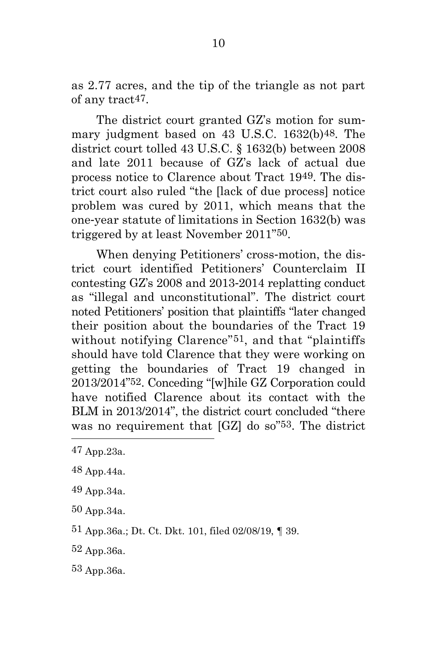as 2.77 acres, and the tip of the triangle as not part of any tract47.

The district court granted GZ's motion for summary judgment based on 43 U.S.C. 1632(b)48. The district court tolled 43 U.S.C. § 1632(b) between 2008 and late 2011 because of GZ's lack of actual due process notice to Clarence about Tract 1949. The district court also ruled "the [lack of due process] notice problem was cured by 2011, which means that the one-year statute of limitations in Section 1632(b) was triggered by at least November 2011"50.

When denying Petitioners' cross-motion, the district court identified Petitioners' Counterclaim II contesting GZ's 2008 and 2013-2014 replatting conduct as "illegal and unconstitutional". The district court noted Petitioners' position that plaintiffs "later changed their position about the boundaries of the Tract 19 without notifying Clarence"51, and that "plaintiffs should have told Clarence that they were working on getting the boundaries of Tract 19 changed in 2013/2014"52. Conceding "[w]hile GZ Corporation could have notified Clarence about its contact with the BLM in 2013/2014", the district court concluded "there was no requirement that [GZ] do so"53. The district

- 48 App.44a.
- 49 App.34a.
- 50 App.34a.
- 51 App.36a.; Dt. Ct. Dkt. 101, filed 02/08/19, ¶ 39.
- 52 App.36a.
- 53 App.36a.

<sup>47</sup> App.23a.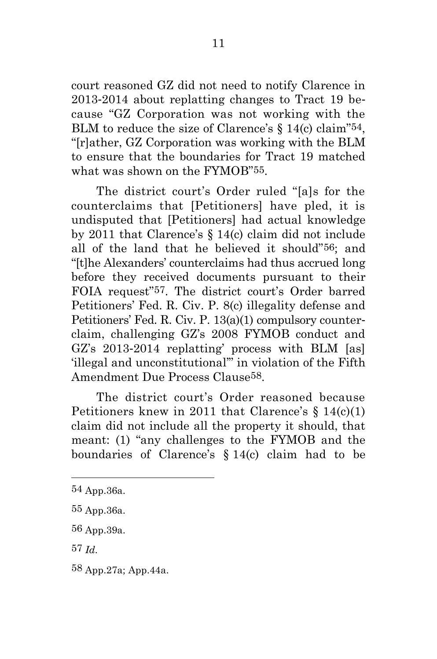court reasoned GZ did not need to notify Clarence in 2013-2014 about replatting changes to Tract 19 because "GZ Corporation was not working with the BLM to reduce the size of Clarence's  $\S$  14(c) claim<sup>"54</sup>, "[r]ather, GZ Corporation was working with the BLM to ensure that the boundaries for Tract 19 matched what was shown on the FYMOB"55.

The district court's Order ruled "[a]s for the counterclaims that [Petitioners] have pled, it is undisputed that [Petitioners] had actual knowledge by 2011 that Clarence's § 14(c) claim did not include all of the land that he believed it should"56; and "[t]he Alexanders' counterclaims had thus accrued long before they received documents pursuant to their FOIA request"57. The district court's Order barred Petitioners' Fed. R. Civ. P. 8(c) illegality defense and Petitioners' Fed. R. Civ. P. 13(a)(1) compulsory counterclaim, challenging GZ's 2008 FYMOB conduct and GZ's 2013-2014 replatting' process with BLM [as] 'illegal and unconstitutional'" in violation of the Fifth Amendment Due Process Clause58.

The district court's Order reasoned because Petitioners knew in 2011 that Clarence's § 14(c)(1) claim did not include all the property it should, that meant: (1) "any challenges to the FYMOB and the boundaries of Clarence's § 14(c) claim had to be

<sup>54</sup> App.36a.

<sup>55</sup> App.36a.

<sup>56</sup> App.39a.

<sup>57</sup> *Id.*

<sup>58</sup> App.27a; App.44a.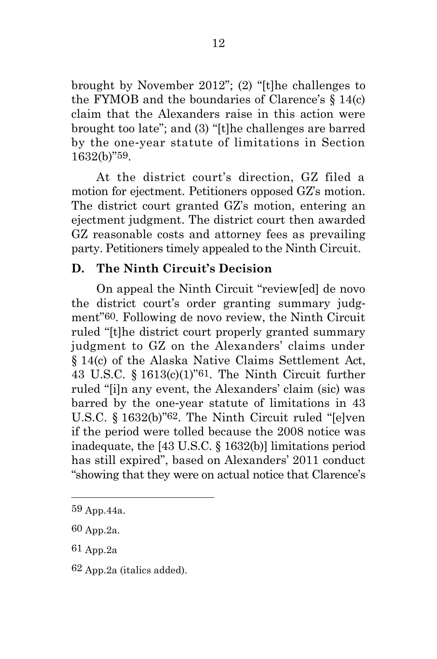brought by November 2012"; (2) "[t]he challenges to the FYMOB and the boundaries of Clarence's  $\S 14(c)$ claim that the Alexanders raise in this action were brought too late"; and (3) "[t]he challenges are barred by the one-year statute of limitations in Section 1632(b)"59.

At the district court's direction, GZ filed a motion for ejectment. Petitioners opposed GZ's motion. The district court granted GZ's motion, entering an ejectment judgment. The district court then awarded GZ reasonable costs and attorney fees as prevailing party. Petitioners timely appealed to the Ninth Circuit.

## <span id="page-24-0"></span>**D. The Ninth Circuit's Decision**

On appeal the Ninth Circuit "review[ed] de novo the district court's order granting summary judgment"60. Following de novo review, the Ninth Circuit ruled "[t]he district court properly granted summary judgment to GZ on the Alexanders' claims under § 14(c) of the Alaska Native Claims Settlement Act, 43 U.S.C. § 1613(c)(1)"61. The Ninth Circuit further ruled "[i]n any event, the Alexanders' claim (sic) was barred by the one-year statute of limitations in 43 U.S.C. § 1632(b)"62. The Ninth Circuit ruled "[e]ven if the period were tolled because the 2008 notice was inadequate, the [43 U.S.C. § 1632(b)] limitations period has still expired", based on Alexanders' 2011 conduct "showing that they were on actual notice that Clarence's

<sup>59</sup> App.44a.

<sup>60</sup> App.2a.

<sup>61</sup> App.2a

<sup>62</sup> App.2a (italics added).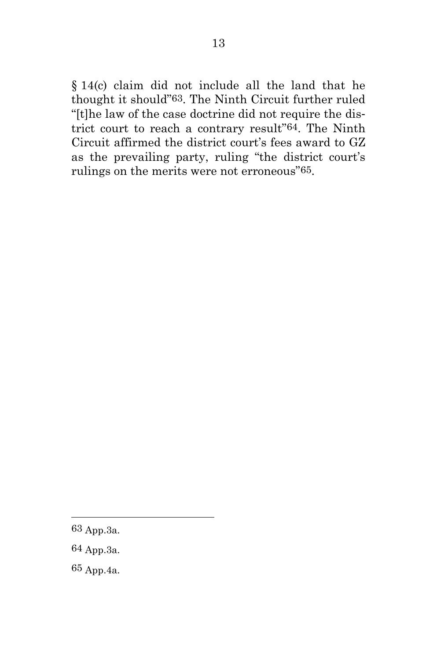§ 14(c) claim did not include all the land that he thought it should"63. The Ninth Circuit further ruled "[t]he law of the case doctrine did not require the district court to reach a contrary result"64. The Ninth Circuit affirmed the district court's fees award to GZ as the prevailing party, ruling "the district court's rulings on the merits were not erroneous"65.

- 64 App.3a.
- 65 App.4a.

<sup>63</sup> App.3a.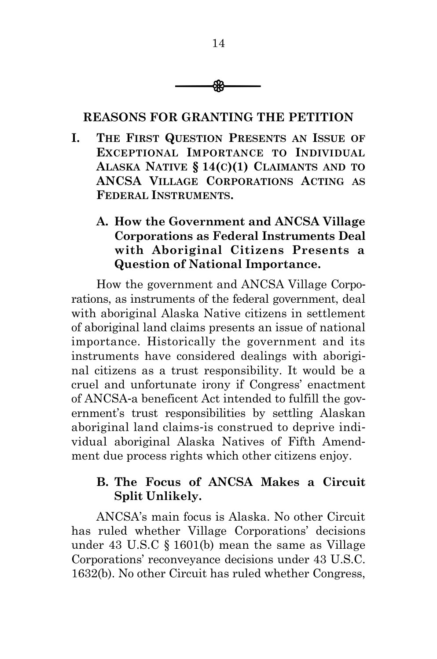

## <span id="page-26-0"></span>**REASONS FOR GRANTING THE PETITION**

- <span id="page-26-1"></span>**I. THE FIRST QUESTION PRESENTS AN ISSUE OF EXCEPTIONAL IMPORTANCE TO INDIVIDUAL ALASKA NATIVE § 14(C)(1) CLAIMANTS AND TO ANCSA VILLAGE CORPORATIONS ACTING AS FEDERAL INSTRUMENTS.**
	- **A. How the Government and ANCSA Village Corporations as Federal Instruments Deal with Aboriginal Citizens Presents a Question of National Importance.**

<span id="page-26-2"></span>How the government and ANCSA Village Corporations, as instruments of the federal government, deal with aboriginal Alaska Native citizens in settlement of aboriginal land claims presents an issue of national importance. Historically the government and its instruments have considered dealings with aboriginal citizens as a trust responsibility. It would be a cruel and unfortunate irony if Congress' enactment of ANCSA-a beneficent Act intended to fulfill the government's trust responsibilities by settling Alaskan aboriginal land claims-is construed to deprive individual aboriginal Alaska Natives of Fifth Amendment due process rights which other citizens enjoy.

# <span id="page-26-3"></span>**B. The Focus of ANCSA Makes a Circuit Split Unlikely.**

ANCSA's main focus is Alaska. No other Circuit has ruled whether Village Corporations' decisions under 43 U.S.C § 1601(b) mean the same as Village Corporations' reconveyance decisions under 43 U.S.C. 1632(b). No other Circuit has ruled whether Congress,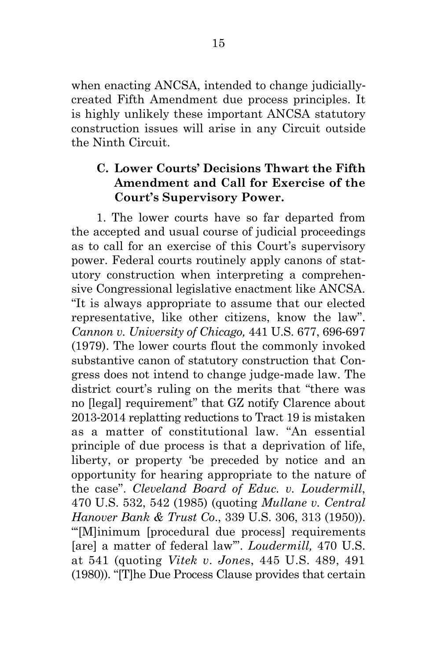when enacting ANCSA, intended to change judiciallycreated Fifth Amendment due process principles. It is highly unlikely these important ANCSA statutory construction issues will arise in any Circuit outside the Ninth Circuit.

# <span id="page-27-0"></span>**C. Lower Courts' Decisions Thwart the Fifth Amendment and Call for Exercise of the Court's Supervisory Power.**

1. The lower courts have so far departed from the accepted and usual course of judicial proceedings as to call for an exercise of this Court's supervisory power. Federal courts routinely apply canons of statutory construction when interpreting a comprehensive Congressional legislative enactment like ANCSA. "It is always appropriate to assume that our elected representative, like other citizens, know the law". *Cannon v. University of Chicago,* 441 U.S. 677, 696-697 (1979). The lower courts flout the commonly invoked substantive canon of statutory construction that Congress does not intend to change judge-made law. The district court's ruling on the merits that "there was no [legal] requirement" that GZ notify Clarence about 2013-2014 replatting reductions to Tract 19 is mistaken as a matter of constitutional law. "An essential principle of due process is that a deprivation of life, liberty, or property 'be preceded by notice and an opportunity for hearing appropriate to the nature of the case". *Cleveland Board of Educ. v. Loudermill*, 470 U.S. 532, 542 (1985) (quoting *Mullane v. Central Hanover Bank & Trust Co*., 339 U.S. 306, 313 (1950)). "'[M]inimum [procedural due process] requirements [are] a matter of federal law'". *Loudermill,* 470 U.S. at 541 (quoting *Vitek v*. *Jone*s, 445 U.S. 489, 491 (1980)). "[T]he Due Process Clause provides that certain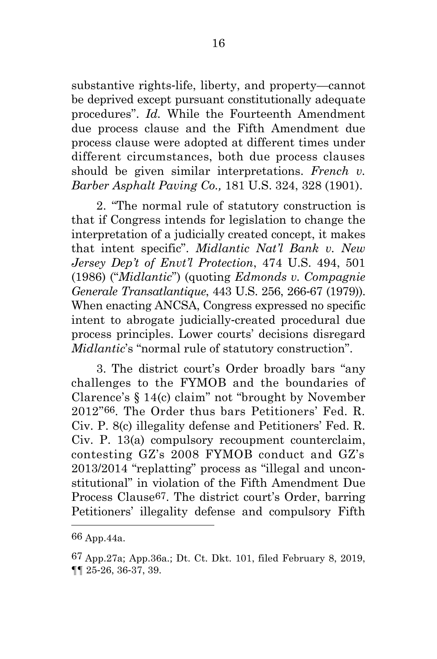substantive rights-life, liberty, and property—cannot be deprived except pursuant constitutionally adequate procedures". *Id.* While the Fourteenth Amendment due process clause and the Fifth Amendment due process clause were adopted at different times under different circumstances, both due process clauses should be given similar interpretations. *French v. Barber Asphalt Paving Co.,* 181 U.S. 324, 328 (1901).

2. "The normal rule of statutory construction is that if Congress intends for legislation to change the interpretation of a judicially created concept, it makes that intent specific". *Midlantic Nat'l Bank v. New Jersey Dep't of Envt'l Protection*, 474 U.S. 494, 501 (1986) ("*Midlantic*") (quoting *Edmonds v. Compagnie Generale Transatlantique*, 443 U.S. 256, 266-67 (1979)). When enacting ANCSA, Congress expressed no specific intent to abrogate judicially-created procedural due process principles. Lower courts' decisions disregard *Midlantic*'s "normal rule of statutory construction".

3. The district court's Order broadly bars "any challenges to the FYMOB and the boundaries of Clarence's § 14(c) claim" not "brought by November 2012"66. The Order thus bars Petitioners' Fed. R. Civ. P. 8(c) illegality defense and Petitioners' Fed. R. Civ. P. 13(a) compulsory recoupment counterclaim, contesting GZ's 2008 FYMOB conduct and GZ's 2013/2014 "replatting" process as "illegal and unconstitutional" in violation of the Fifth Amendment Due Process Clause67. The district court's Order, barring Petitioners' illegality defense and compulsory Fifth

<sup>66</sup> App.44a.

<sup>67</sup> App.27a; App.36a.; Dt. Ct. Dkt. 101, filed February 8, 2019, ¶¶ 25-26, 36-37, 39.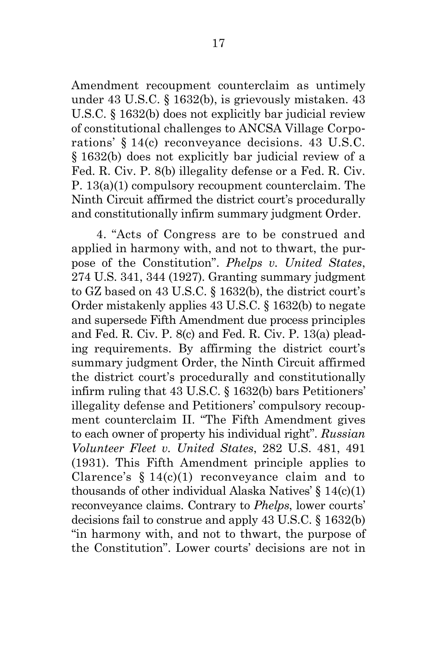Amendment recoupment counterclaim as untimely under 43 U.S.C. § 1632(b), is grievously mistaken. 43 U.S.C. § 1632(b) does not explicitly bar judicial review of constitutional challenges to ANCSA Village Corporations' § 14(c) reconveyance decisions. 43 U.S.C. § 1632(b) does not explicitly bar judicial review of a Fed. R. Civ. P. 8(b) illegality defense or a Fed. R. Civ. P. 13(a)(1) compulsory recoupment counterclaim. The Ninth Circuit affirmed the district court's procedurally and constitutionally infirm summary judgment Order.

4. "Acts of Congress are to be construed and applied in harmony with, and not to thwart, the purpose of the Constitution". *Phelps v. United States*, 274 U.S. 341, 344 (1927). Granting summary judgment to GZ based on 43 U.S.C. § 1632(b), the district court's Order mistakenly applies 43 U.S.C. § 1632(b) to negate and supersede Fifth Amendment due process principles and Fed. R. Civ. P. 8(c) and Fed. R. Civ. P. 13(a) pleading requirements. By affirming the district court's summary judgment Order, the Ninth Circuit affirmed the district court's procedurally and constitutionally infirm ruling that 43 U.S.C. § 1632(b) bars Petitioners' illegality defense and Petitioners' compulsory recoupment counterclaim II. "The Fifth Amendment gives to each owner of property his individual right". *Russian Volunteer Fleet v. United States*, 282 U.S. 481, 491 (1931). This Fifth Amendment principle applies to Clarence's  $§ 14(c)(1)$  reconveyance claim and to thousands of other individual Alaska Natives'  $\S 14(c)(1)$ reconveyance claims. Contrary to *Phelps*, lower courts' decisions fail to construe and apply 43 U.S.C. § 1632(b) "in harmony with, and not to thwart, the purpose of the Constitution". Lower courts' decisions are not in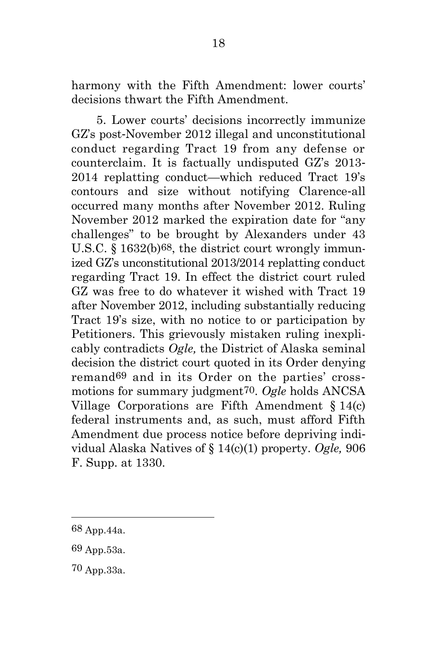harmony with the Fifth Amendment: lower courts' decisions thwart the Fifth Amendment.

5. Lower courts' decisions incorrectly immunize GZ's post-November 2012 illegal and unconstitutional conduct regarding Tract 19 from any defense or counterclaim. It is factually undisputed GZ's 2013- 2014 replatting conduct—which reduced Tract 19's contours and size without notifying Clarence-all occurred many months after November 2012. Ruling November 2012 marked the expiration date for "any challenges" to be brought by Alexanders under 43 U.S.C. § 1632(b)68, the district court wrongly immunized GZ's unconstitutional 2013/2014 replatting conduct regarding Tract 19. In effect the district court ruled GZ was free to do whatever it wished with Tract 19 after November 2012, including substantially reducing Tract 19's size, with no notice to or participation by Petitioners. This grievously mistaken ruling inexplicably contradicts *Ogle,* the District of Alaska seminal decision the district court quoted in its Order denying remand69 and in its Order on the parties' crossmotions for summary judgment70. *Ogle* holds ANCSA Village Corporations are Fifth Amendment § 14(c) federal instruments and, as such, must afford Fifth Amendment due process notice before depriving individual Alaska Natives of § 14(c)(1) property. *Ogle,* 906 F. Supp. at 1330.

<sup>68</sup> App.44a.

<sup>69</sup> App.53a.

<sup>70</sup> App.33a.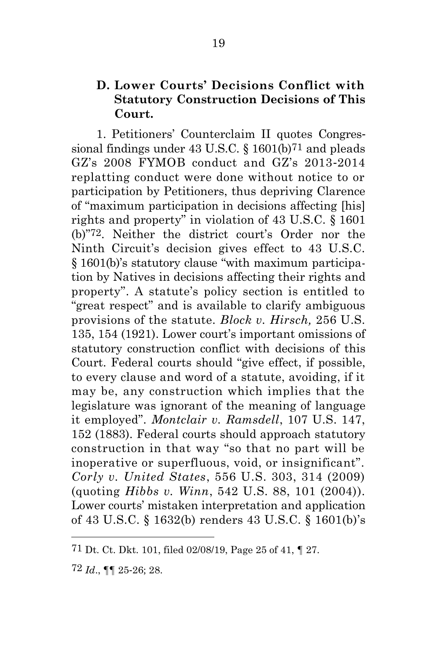## <span id="page-31-0"></span>**D. Lower Courts' Decisions Conflict with Statutory Construction Decisions of This Court.**

1. Petitioners' Counterclaim II quotes Congressional findings under 43 U.S.C. § 1601(b)71 and pleads GZ's 2008 FYMOB conduct and GZ's 2013-2014 replatting conduct were done without notice to or participation by Petitioners, thus depriving Clarence of "maximum participation in decisions affecting [his] rights and property" in violation of 43 U.S.C. § 1601 (b)"72. Neither the district court's Order nor the Ninth Circuit's decision gives effect to 43 U.S.C. § 1601(b)'s statutory clause "with maximum participation by Natives in decisions affecting their rights and property". A statute's policy section is entitled to "great respect" and is available to clarify ambiguous provisions of the statute. *Block v. Hirsch,* 256 U.S. 135, 154 (1921). Lower court's important omissions of statutory construction conflict with decisions of this Court. Federal courts should "give effect, if possible, to every clause and word of a statute, avoiding, if it may be, any construction which implies that the legislature was ignorant of the meaning of language it employed". *Montclair v. Ramsdell*, 107 U.S. 147, 152 (1883). Federal courts should approach statutory construction in that way "so that no part will be inoperative or superfluous, void, or insignificant". *Corly v. United States*, 556 U.S. 303, 314 (2009) (quoting *Hibbs v. Winn*, 542 U.S. 88, 101 (2004)). Lower courts' mistaken interpretation and application of 43 U.S.C. § 1632(b) renders 43 U.S.C. § 1601(b)'s

<sup>71</sup> Dt. Ct. Dkt. 101, filed 02/08/19, Page 25 of 41, ¶ 27.

<sup>72</sup> *Id*., ¶¶ 25-26; 28.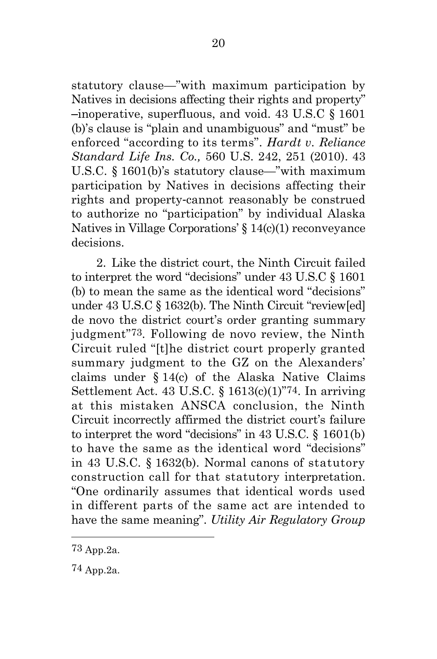statutory clause—"with maximum participation by Natives in decisions affecting their rights and property" –inoperative, superfluous, and void. 43 U.S.C § 1601 (b)'s clause is "plain and unambiguous" and "must" be enforced "according to its terms". *Hardt v. Reliance Standard Life Ins. Co.,* 560 U.S. 242, 251 (2010). 43 U.S.C. § 1601(b)'s statutory clause—"with maximum participation by Natives in decisions affecting their rights and property-cannot reasonably be construed to authorize no "participation" by individual Alaska Natives in Village Corporations' § 14(c)(1) reconveyance decisions.

2. Like the district court, the Ninth Circuit failed to interpret the word "decisions" under 43 U.S.C § 1601 (b) to mean the same as the identical word "decisions" under 43 U.S.C § 1632(b). The Ninth Circuit "review[ed] de novo the district court's order granting summary judgment"73. Following de novo review, the Ninth Circuit ruled "[t]he district court properly granted summary judgment to the GZ on the Alexanders' claims under § 14(c) of the Alaska Native Claims Settlement Act. 43 U.S.C. § 1613(c)(1)"74. In arriving at this mistaken ANSCA conclusion, the Ninth Circuit incorrectly affirmed the district court's failure to interpret the word "decisions" in 43 U.S.C. § 1601(b) to have the same as the identical word "decisions" in 43 U.S.C. § 1632(b). Normal canons of statutory construction call for that statutory interpretation. "One ordinarily assumes that identical words used in different parts of the same act are intended to have the same meaning". *Utility Air Regulatory Group* 

<sup>73</sup> App.2a.

<sup>74</sup> App.2a.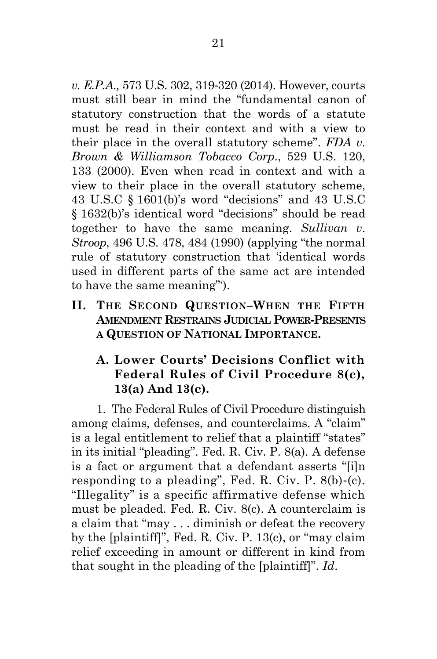*v. E.P.A.,* 573 U.S. 302, 319-320 (2014). However, courts must still bear in mind the "fundamental canon of statutory construction that the words of a statute must be read in their context and with a view to their place in the overall statutory scheme". *FDA v. Brown & Williamson Tobacco Corp*., 529 U.S. 120, 133 (2000). Even when read in context and with a view to their place in the overall statutory scheme, 43 U.S.C § 1601(b)'s word "decisions" and 43 U.S.C § 1632(b)'s identical word "decisions" should be read together to have the same meaning. *Sullivan v*. *Stroop*, 496 U.S. 478, 484 (1990) (applying "the normal rule of statutory construction that 'identical words used in different parts of the same act are intended to have the same meaning"').

<span id="page-33-0"></span>**II. THE SECOND QUESTION–WHEN THE FIFTH AMENDMENT RESTRAINS JUDICIAL POWER-PRESENTS A QUESTION OF NATIONAL IMPORTANCE.**

# <span id="page-33-1"></span>**A. Lower Courts' Decisions Conflict with Federal Rules of Civil Procedure 8(c), 13(a) And 13(c).**

1. The Federal Rules of Civil Procedure distinguish among claims, defenses, and counterclaims. A "claim" is a legal entitlement to relief that a plaintiff "states" in its initial "pleading". Fed. R. Civ. P. 8(a). A defense is a fact or argument that a defendant asserts "[i]n responding to a pleading", Fed. R. Civ. P. 8(b)-(c). "Illegality" is a specific affirmative defense which must be pleaded. Fed. R. Civ. 8(c). A counterclaim is a claim that "may . . . diminish or defeat the recovery by the [plaintiff]", Fed. R. Civ. P. 13(c), or "may claim relief exceeding in amount or different in kind from that sought in the pleading of the [plaintiff]". *Id*.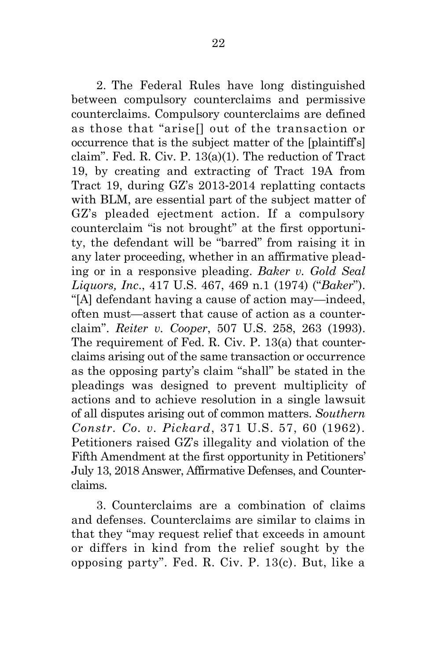2. The Federal Rules have long distinguished between compulsory counterclaims and permissive counterclaims. Compulsory counterclaims are defined as those that "arise[] out of the transaction or occurrence that is the subject matter of the [plaintiff's] claim". Fed. R. Civ. P. 13(a)(1). The reduction of Tract 19, by creating and extracting of Tract 19A from Tract 19, during GZ's 2013-2014 replatting contacts with BLM, are essential part of the subject matter of GZ's pleaded ejectment action. If a compulsory counterclaim "is not brought" at the first opportunity, the defendant will be "barred" from raising it in any later proceeding, whether in an affirmative pleading or in a responsive pleading. *Baker v. Gold Seal Liquors, Inc*., 417 U.S. 467, 469 n.1 (1974) ("*Baker*"). "[A] defendant having a cause of action may—indeed, often must—assert that cause of action as a counterclaim". *Reiter v. Cooper*, 507 U.S. 258, 263 (1993). The requirement of Fed. R. Civ. P. 13(a) that counterclaims arising out of the same transaction or occurrence as the opposing party's claim "shall" be stated in the pleadings was designed to prevent multiplicity of actions and to achieve resolution in a single lawsuit of all disputes arising out of common matters. *Southern Constr. Co. v. Pickard*, 371 U.S. 57, 60 (1962). Petitioners raised GZ's illegality and violation of the Fifth Amendment at the first opportunity in Petitioners' July 13, 2018 Answer, Affirmative Defenses, and Counterclaims.

3. Counterclaims are a combination of claims and defenses. Counterclaims are similar to claims in that they "may request relief that exceeds in amount or differs in kind from the relief sought by the opposing party". Fed. R. Civ. P. 13(c). But, like a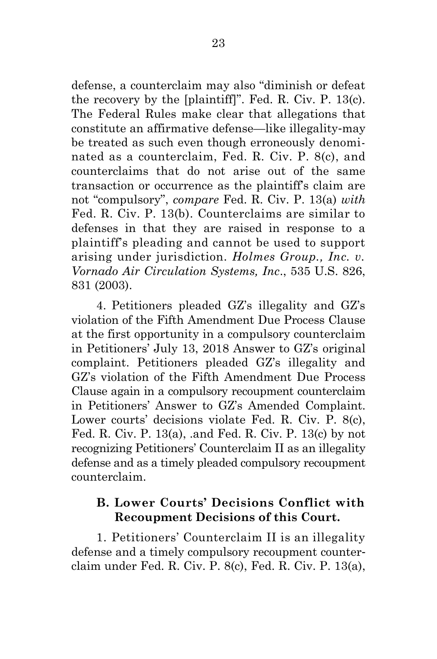defense, a counterclaim may also "diminish or defeat the recovery by the [plaintiff]". Fed. R. Civ. P. 13(c). The Federal Rules make clear that allegations that constitute an affirmative defense—like illegality-may be treated as such even though erroneously denominated as a counterclaim, Fed. R. Civ. P. 8(c), and counterclaims that do not arise out of the same transaction or occurrence as the plaintiff's claim are not "compulsory", *compare* Fed. R. Civ. P. 13(a) *with* Fed. R. Civ. P. 13(b). Counterclaims are similar to defenses in that they are raised in response to a plaintiff's pleading and cannot be used to support arising under jurisdiction. *Holmes Group., Inc. v. Vornado Air Circulation Systems, Inc*., 535 U.S. 826, 831 (2003).

4. Petitioners pleaded GZ's illegality and GZ's violation of the Fifth Amendment Due Process Clause at the first opportunity in a compulsory counterclaim in Petitioners' July 13, 2018 Answer to GZ's original complaint. Petitioners pleaded GZ's illegality and GZ's violation of the Fifth Amendment Due Process Clause again in a compulsory recoupment counterclaim in Petitioners' Answer to GZ's Amended Complaint. Lower courts' decisions violate Fed. R. Civ. P. 8(c), Fed. R. Civ. P. 13(a), .and Fed. R. Civ. P. 13(c) by not recognizing Petitioners' Counterclaim II as an illegality defense and as a timely pleaded compulsory recoupment counterclaim.

## <span id="page-35-0"></span>**B. Lower Courts' Decisions Conflict with Recoupment Decisions of this Court.**

1. Petitioners' Counterclaim II is an illegality defense and a timely compulsory recoupment counterclaim under Fed. R. Civ. P. 8(c), Fed. R. Civ. P. 13(a),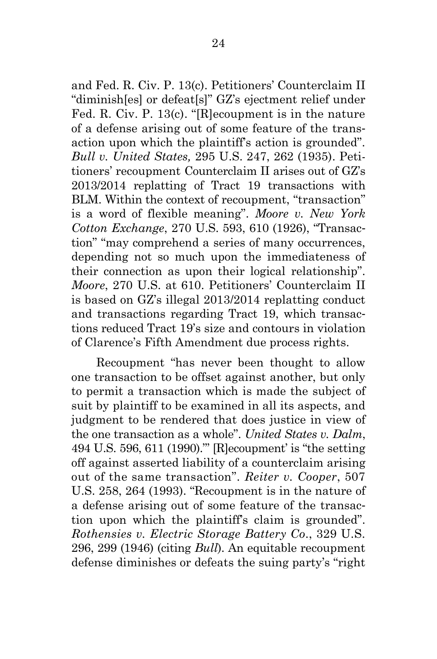and Fed. R. Civ. P. 13(c). Petitioners' Counterclaim II "diminish[es] or defeat[s]" GZ's ejectment relief under Fed. R. Civ. P. 13(c). "[R]ecoupment is in the nature of a defense arising out of some feature of the transaction upon which the plaintiff's action is grounded". *Bull v. United States,* 295 U.S. 247, 262 (1935). Petitioners' recoupment Counterclaim II arises out of GZ's 2013/2014 replatting of Tract 19 transactions with BLM. Within the context of recoupment, "transaction" is a word of flexible meaning". *Moore v. New York Cotton Exchange*, 270 U.S. 593, 610 (1926), "Transaction" "may comprehend a series of many occurrences, depending not so much upon the immediateness of their connection as upon their logical relationship". *Moore*, 270 U.S. at 610. Petitioners' Counterclaim II is based on GZ's illegal 2013/2014 replatting conduct and transactions regarding Tract 19, which transactions reduced Tract 19's size and contours in violation of Clarence's Fifth Amendment due process rights.

Recoupment "has never been thought to allow one transaction to be offset against another, but only to permit a transaction which is made the subject of suit by plaintiff to be examined in all its aspects, and judgment to be rendered that does justice in view of the one transaction as a whole". *United States v. Dalm*, 494 U.S. 596, 611 (1990)."' [R]ecoupment' is "the setting off against asserted liability of a counterclaim arising out of the same transaction". *Reiter v. Cooper*, 507 U.S. 258, 264 (1993). "Recoupment is in the nature of a defense arising out of some feature of the transaction upon which the plaintiff's claim is grounded". *Rothensies v. Electric Storage Battery Co*., 329 U.S. 296, 299 (1946) (citing *Bull*). An equitable recoupment defense diminishes or defeats the suing party's "right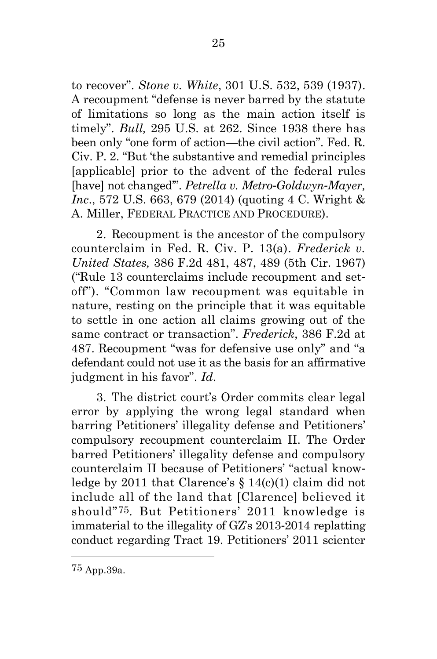to recover". *Stone v. White*, 301 U.S. 532, 539 (1937). A recoupment "defense is never barred by the statute of limitations so long as the main action itself is timely". *Bull,* 295 U.S. at 262. Since 1938 there has been only "one form of action—the civil action". Fed. R. Civ. P. 2. "But 'the substantive and remedial principles [applicable] prior to the advent of the federal rules [have] not changed'". *Petrella v. Metro-Goldwyn-Mayer, Inc*., 572 U.S. 663, 679 (2014) (quoting 4 C. Wright & A. Miller, FEDERAL PRACTICE AND PROCEDURE).

2. Recoupment is the ancestor of the compulsory counterclaim in Fed. R. Civ. P. 13(a). *Frederick v. United States,* 386 F.2d 481, 487, 489 (5th Cir. 1967) ("Rule 13 counterclaims include recoupment and setoff"). "Common law recoupment was equitable in nature, resting on the principle that it was equitable to settle in one action all claims growing out of the same contract or transaction". *Frederick*, 386 F.2d at 487. Recoupment "was for defensive use only" and "a defendant could not use it as the basis for an affirmative judgment in his favor". *Id*.

3. The district court's Order commits clear legal error by applying the wrong legal standard when barring Petitioners' illegality defense and Petitioners' compulsory recoupment counterclaim II. The Order barred Petitioners' illegality defense and compulsory counterclaim II because of Petitioners' "actual knowledge by 2011 that Clarence's  $\S 14(c)(1)$  claim did not include all of the land that [Clarence] believed it should"75. But Petitioners' 2011 knowledge is immaterial to the illegality of GZ's 2013-2014 replatting conduct regarding Tract 19. Petitioners' 2011 scienter

<sup>75</sup> App.39a.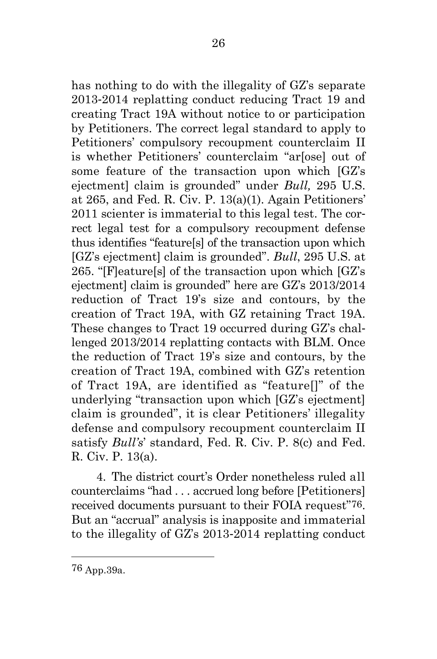has nothing to do with the illegality of GZ's separate 2013-2014 replatting conduct reducing Tract 19 and creating Tract 19A without notice to or participation by Petitioners. The correct legal standard to apply to Petitioners' compulsory recoupment counterclaim II is whether Petitioners' counterclaim "ar[ose] out of some feature of the transaction upon which [GZ's ejectment] claim is grounded" under *Bull,* 295 U.S. at 265, and Fed. R. Civ. P. 13(a)(1). Again Petitioners' 2011 scienter is immaterial to this legal test. The correct legal test for a compulsory recoupment defense thus identifies "feature[s] of the transaction upon which [GZ's ejectment] claim is grounded". *Bull*, 295 U.S. at 265. "[F]eature[s] of the transaction upon which [GZ's ejectment] claim is grounded" here are GZ's 2013/2014 reduction of Tract 19's size and contours, by the creation of Tract 19A, with GZ retaining Tract 19A. These changes to Tract 19 occurred during GZ's challenged 2013/2014 replatting contacts with BLM. Once the reduction of Tract 19's size and contours, by the creation of Tract 19A, combined with GZ's retention of Tract 19A, are identified as "feature[]" of the underlying "transaction upon which [GZ's ejectment] claim is grounded", it is clear Petitioners' illegality defense and compulsory recoupment counterclaim II satisfy *Bull's*' standard, Fed. R. Civ. P. 8(c) and Fed. R. Civ. P. 13(a).

4. The district court's Order nonetheless ruled all counterclaims "had . . . accrued long before [Petitioners] received documents pursuant to their FOIA request"76. But an "accrual" analysis is inapposite and immaterial to the illegality of GZ's 2013-2014 replatting conduct

76 App.39a.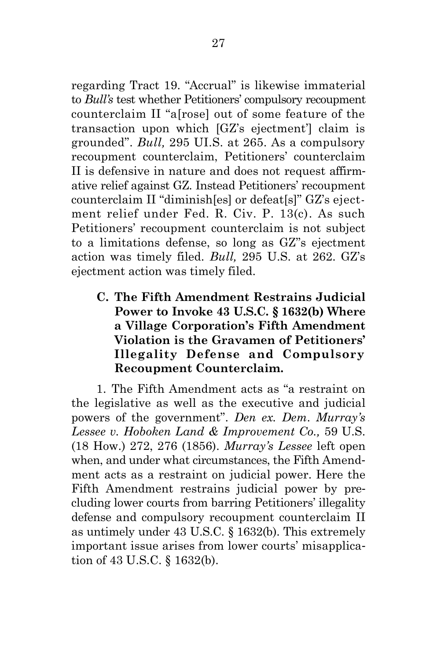regarding Tract 19. "Accrual" is likewise immaterial to *Bull's* test whether Petitioners' compulsory recoupment counterclaim II "a[rose] out of some feature of the transaction upon which [GZ's ejectment'] claim is grounded". *Bull,* 295 UI.S. at 265. As a compulsory recoupment counterclaim, Petitioners' counterclaim II is defensive in nature and does not request affirmative relief against GZ. Instead Petitioners' recoupment counterclaim II "diminish[es] or defeat[s]" GZ's ejectment relief under Fed. R. Civ. P. 13(c). As such Petitioners' recoupment counterclaim is not subject to a limitations defense, so long as GZ''s ejectment action was timely filed. *Bull,* 295 U.S. at 262. GZ's ejectment action was timely filed.

<span id="page-39-0"></span>**C. The Fifth Amendment Restrains Judicial Power to Invoke 43 U.S.C. § 1632(b) Where a Village Corporation's Fifth Amendment Violation is the Gravamen of Petitioners' Illegality Defense and Compulsory Recoupment Counterclaim.**

1. The Fifth Amendment acts as "a restraint on the legislative as well as the executive and judicial powers of the government". *Den ex. Dem*. *Murray's Lessee v. Hoboken Land & Improvement Co.,* 59 U.S. (18 How.) 272, 276 (1856). *Murray's Lessee* left open when, and under what circumstances, the Fifth Amendment acts as a restraint on judicial power. Here the Fifth Amendment restrains judicial power by precluding lower courts from barring Petitioners' illegality defense and compulsory recoupment counterclaim II as untimely under 43 U.S.C. § 1632(b). This extremely important issue arises from lower courts' misapplication of 43 U.S.C. § 1632(b).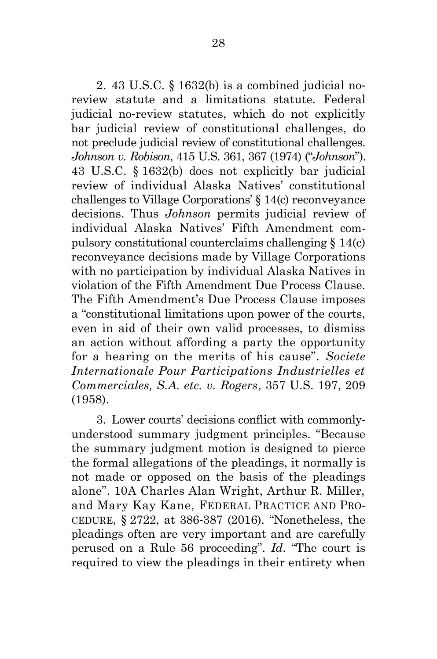2. 43 U.S.C. § 1632(b) is a combined judicial noreview statute and a limitations statute. Federal judicial no-review statutes, which do not explicitly bar judicial review of constitutional challenges, do not preclude judicial review of constitutional challenges. *Johnson v. Robison*, 415 U.S. 361, 367 (1974) ("*Johnson*"). 43 U.S.C. § 1632(b) does not explicitly bar judicial review of individual Alaska Natives' constitutional challenges to Village Corporations' § 14(c) reconveyance decisions. Thus *Johnson* permits judicial review of individual Alaska Natives' Fifth Amendment compulsory constitutional counterclaims challenging § 14(c) reconveyance decisions made by Village Corporations with no participation by individual Alaska Natives in violation of the Fifth Amendment Due Process Clause. The Fifth Amendment's Due Process Clause imposes a "constitutional limitations upon power of the courts, even in aid of their own valid processes, to dismiss an action without affording a party the opportunity for a hearing on the merits of his cause". *Societe Internationale Pour Participations Industrielles et Commerciales, S.A. etc. v. Rogers*, 357 U.S. 197, 209 (1958).

3. Lower courts' decisions conflict with commonlyunderstood summary judgment principles. "Because the summary judgment motion is designed to pierce the formal allegations of the pleadings, it normally is not made or opposed on the basis of the pleadings alone". 10A Charles Alan Wright, Arthur R. Miller, and Mary Kay Kane, FEDERAL PRACTICE AND PRO-CEDURE, § 2722, at 386-387 (2016). "Nonetheless, the pleadings often are very important and are carefully perused on a Rule 56 proceeding". *Id*. "The court is required to view the pleadings in their entirety when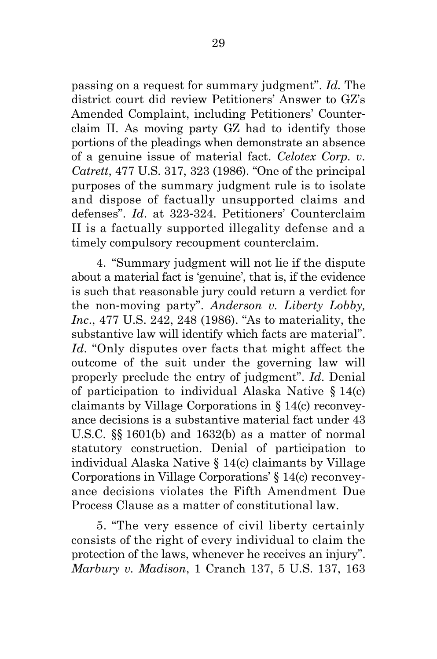passing on a request for summary judgment". *Id.* The district court did review Petitioners' Answer to GZ's Amended Complaint, including Petitioners' Counterclaim II. As moving party GZ had to identify those portions of the pleadings when demonstrate an absence of a genuine issue of material fact. *Celotex Corp. v. Catrett*, 477 U.S. 317, 323 (1986). "One of the principal purposes of the summary judgment rule is to isolate and dispose of factually unsupported claims and defenses". *Id*. at 323-324. Petitioners' Counterclaim II is a factually supported illegality defense and a timely compulsory recoupment counterclaim.

4. "Summary judgment will not lie if the dispute about a material fact is 'genuine', that is, if the evidence is such that reasonable jury could return a verdict for the non-moving party". *Anderson v. Liberty Lobby, Inc*., 477 U.S. 242, 248 (1986). "As to materiality, the substantive law will identify which facts are material". *Id.* "Only disputes over facts that might affect the outcome of the suit under the governing law will properly preclude the entry of judgment". *Id*. Denial of participation to individual Alaska Native § 14(c) claimants by Village Corporations in § 14(c) reconveyance decisions is a substantive material fact under 43 U.S.C. §§ 1601(b) and 1632(b) as a matter of normal statutory construction. Denial of participation to individual Alaska Native § 14(c) claimants by Village Corporations in Village Corporations' § 14(c) reconveyance decisions violates the Fifth Amendment Due Process Clause as a matter of constitutional law.

5. "The very essence of civil liberty certainly consists of the right of every individual to claim the protection of the laws, whenever he receives an injury". *Marbury v. Madison*, 1 Cranch 137, 5 U.S. 137, 163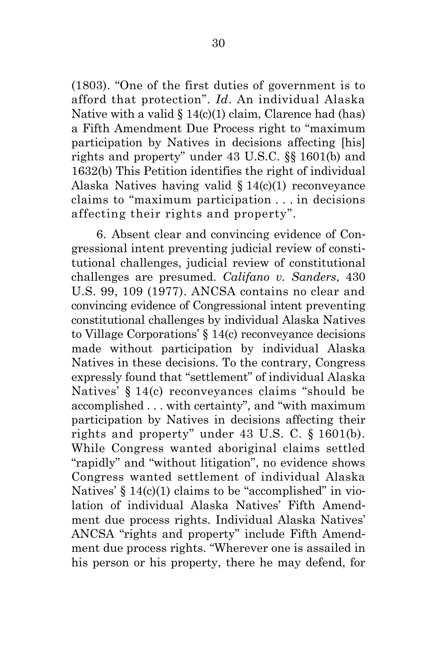(1803). "One of the first duties of government is to afford that protection". *Id*. An individual Alaska Native with a valid  $\S 14(c)(1)$  claim, Clarence had (has) a Fifth Amendment Due Process right to "maximum participation by Natives in decisions affecting [his] rights and property" under 43 U.S.C. §§ 1601(b) and 1632(b) This Petition identifies the right of individual Alaska Natives having valid § 14(c)(1) reconveyance claims to "maximum participation . . . in decisions affecting their rights and property".

6. Absent clear and convincing evidence of Congressional intent preventing judicial review of constitutional challenges, judicial review of constitutional challenges are presumed. *Califano v. Sanders*, 430 U.S. 99, 109 (1977). ANCSA contains no clear and convincing evidence of Congressional intent preventing constitutional challenges by individual Alaska Natives to Village Corporations' § 14(c) reconveyance decisions made without participation by individual Alaska Natives in these decisions. To the contrary, Congress expressly found that "settlement" of individual Alaska Natives' § 14(c) reconveyances claims "should be accomplished . . . with certainty", and "with maximum participation by Natives in decisions affecting their rights and property" under 43 U.S. C. § 1601(b). While Congress wanted aboriginal claims settled "rapidly" and "without litigation", no evidence shows Congress wanted settlement of individual Alaska Natives'  $\S 14(c)(1)$  claims to be "accomplished" in violation of individual Alaska Natives' Fifth Amendment due process rights. Individual Alaska Natives' ANCSA "rights and property" include Fifth Amendment due process rights. "Wherever one is assailed in his person or his property, there he may defend, for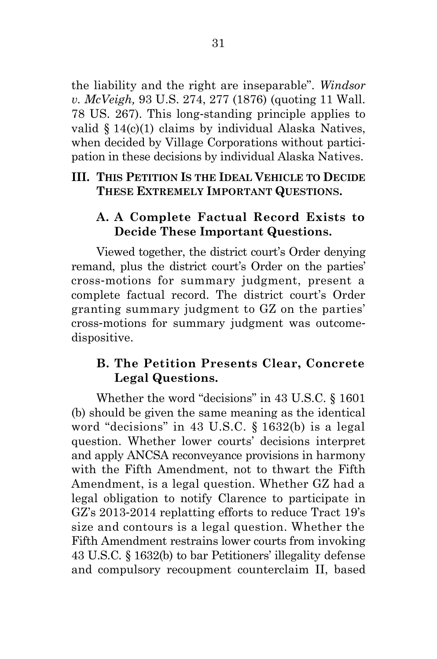the liability and the right are inseparable". *Windsor v. McVeigh,* 93 U.S. 274, 277 (1876) (quoting 11 Wall. 78 US. 267). This long-standing principle applies to valid § 14(c)(1) claims by individual Alaska Natives, when decided by Village Corporations without participation in these decisions by individual Alaska Natives.

## <span id="page-43-0"></span>**III. THIS PETITION IS THE IDEAL VEHICLE TO DECIDE THESE EXTREMELY IMPORTANT QUESTIONS.**

## <span id="page-43-1"></span>**A. A Complete Factual Record Exists to Decide These Important Questions.**

Viewed together, the district court's Order denying remand, plus the district court's Order on the parties' cross-motions for summary judgment, present a complete factual record. The district court's Order granting summary judgment to GZ on the parties' cross-motions for summary judgment was outcomedispositive.

# <span id="page-43-2"></span>**B. The Petition Presents Clear, Concrete Legal Questions.**

Whether the word "decisions" in 43 U.S.C. § 1601 (b) should be given the same meaning as the identical word "decisions" in 43 U.S.C. § 1632(b) is a legal question. Whether lower courts' decisions interpret and apply ANCSA reconveyance provisions in harmony with the Fifth Amendment, not to thwart the Fifth Amendment, is a legal question. Whether GZ had a legal obligation to notify Clarence to participate in GZ's 2013-2014 replatting efforts to reduce Tract 19's size and contours is a legal question. Whether the Fifth Amendment restrains lower courts from invoking 43 U.S.C. § 1632(b) to bar Petitioners' illegality defense and compulsory recoupment counterclaim II, based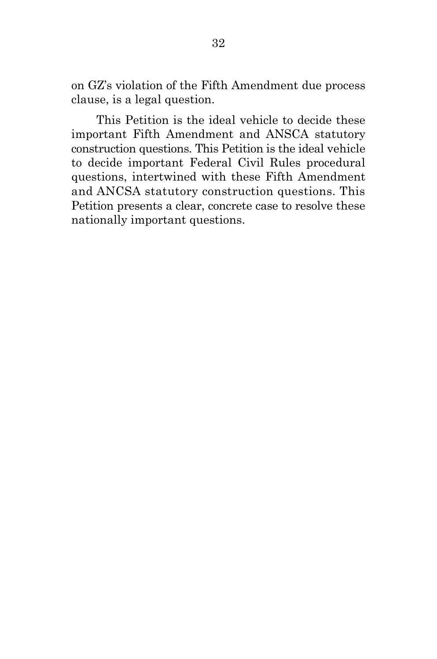on GZ's violation of the Fifth Amendment due process clause, is a legal question.

This Petition is the ideal vehicle to decide these important Fifth Amendment and ANSCA statutory construction questions. This Petition is the ideal vehicle to decide important Federal Civil Rules procedural questions, intertwined with these Fifth Amendment and ANCSA statutory construction questions. This Petition presents a clear, concrete case to resolve these nationally important questions.